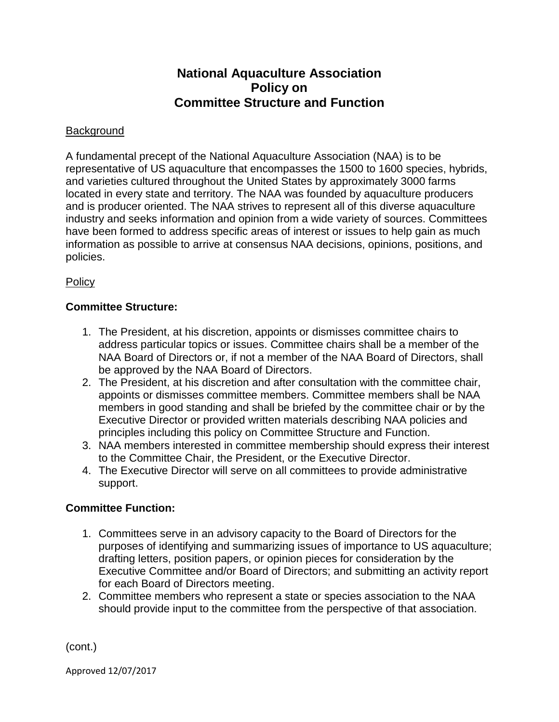# **National Aquaculture Association Policy on Committee Structure and Function**

## **Background**

A fundamental precept of the National Aquaculture Association (NAA) is to be representative of US aquaculture that encompasses the 1500 to 1600 species, hybrids, and varieties cultured throughout the United States by approximately 3000 farms located in every state and territory. The NAA was founded by aquaculture producers and is producer oriented. The NAA strives to represent all of this diverse aquaculture industry and seeks information and opinion from a wide variety of sources. Committees have been formed to address specific areas of interest or issues to help gain as much information as possible to arrive at consensus NAA decisions, opinions, positions, and policies.

### **Policy**

### **Committee Structure:**

- 1. The President, at his discretion, appoints or dismisses committee chairs to address particular topics or issues. Committee chairs shall be a member of the NAA Board of Directors or, if not a member of the NAA Board of Directors, shall be approved by the NAA Board of Directors.
- 2. The President, at his discretion and after consultation with the committee chair, appoints or dismisses committee members. Committee members shall be NAA members in good standing and shall be briefed by the committee chair or by the Executive Director or provided written materials describing NAA policies and principles including this policy on Committee Structure and Function.
- 3. NAA members interested in committee membership should express their interest to the Committee Chair, the President, or the Executive Director.
- 4. The Executive Director will serve on all committees to provide administrative support.

### **Committee Function:**

- 1. Committees serve in an advisory capacity to the Board of Directors for the purposes of identifying and summarizing issues of importance to US aquaculture; drafting letters, position papers, or opinion pieces for consideration by the Executive Committee and/or Board of Directors; and submitting an activity report for each Board of Directors meeting.
- 2. Committee members who represent a state or species association to the NAA should provide input to the committee from the perspective of that association.

(cont.)